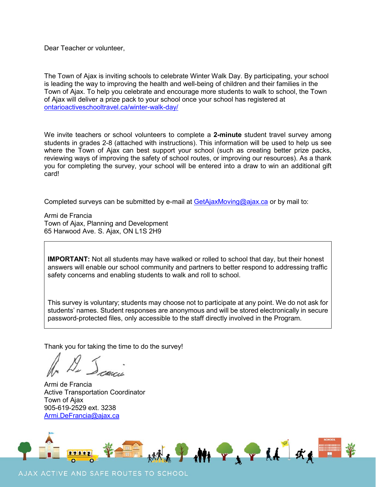Dear Teacher or volunteer,

The Town of Ajax is inviting schools to celebrate Winter Walk Day. By participating, your school is leading the way to improving the health and well-being of children and their families in the Town of Ajax. To help you celebrate and encourage more students to walk to school, the Town of Ajax will deliver a prize pack to your school once your school has registered at [ontarioactiveschooltravel.ca/winter-walk-day/](https://ontarioactiveschooltravel.ca/winter-walk-day/)

We invite teachers or school volunteers to complete a **2-minute** student travel survey among students in grades 2-8 (attached with instructions). This information will be used to help us see where the Town of Ajax can best support your school (such as creating better prize packs, reviewing ways of improving the safety of school routes, or improving our resources). As a thank you for completing the survey, your school will be entered into a draw to win an additional gift card!

Completed surveys can be submitted by e-mail at **GetAjaxMoving@ajax.ca** or by mail to:

Armi de Francia Town of Ajax, Planning and Development 65 Harwood Ave. S. Ajax, ON L1S 2H9

**IMPORTANT:** Not all students may have walked or rolled to school that day, but their honest answers will enable our school community and partners to better respond to addressing traffic safety concerns and enabling students to walk and roll to school.

This survey is voluntary; students may choose not to participate at any point. We do not ask for students' names. Student responses are anonymous and will be stored electronically in secure password-protected files, only accessible to the staff directly involved in the Program.

Thank you for taking the time to do the survey!

Armi de Francia Active Transportation Coordinator Town of Ajax 905-619-2529 ext. 3238 [Armi.DeFrancia@ajax.ca](mailto:Armi.DeFrancia@ajax.ca)



#### AJAX ACTIVE AND SAFE ROUTES TO SCHOOL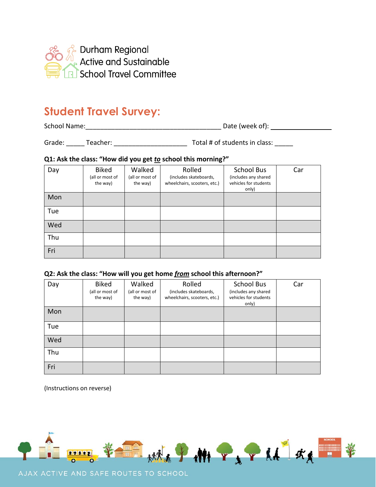

# **Student Travel Survey:**

School Name:\_\_\_\_\_\_\_\_\_\_\_\_\_\_\_\_\_\_\_\_\_\_\_\_\_\_\_\_\_\_\_\_\_\_\_\_\_ Date (week of):

Grade: \_\_\_\_\_ Teacher: \_\_\_\_\_\_\_\_\_\_\_\_\_\_\_\_\_\_\_\_ Total # of students in class: \_\_\_\_\_

### **Q1: Ask the class: "How did you get** *to* **school this morning?"**

| Day | <b>Biked</b><br>(all or most of<br>the way) | Walked<br>(all or most of<br>the way) | Rolled<br>(includes skateboards,<br>wheelchairs, scooters, etc.) | <b>School Bus</b><br>(includes any shared<br>vehicles for students<br>only) | Car |
|-----|---------------------------------------------|---------------------------------------|------------------------------------------------------------------|-----------------------------------------------------------------------------|-----|
| Mon |                                             |                                       |                                                                  |                                                                             |     |
| Tue |                                             |                                       |                                                                  |                                                                             |     |
| Wed |                                             |                                       |                                                                  |                                                                             |     |
| Thu |                                             |                                       |                                                                  |                                                                             |     |
| Fri |                                             |                                       |                                                                  |                                                                             |     |

### **Q2: Ask the class: "How will you get home** *from* **school this afternoon?"**

| Day | <b>Biked</b><br>(all or most of<br>the way) | Walked<br>(all or most of<br>the way) | Rolled<br>(includes skateboards,<br>wheelchairs, scooters, etc.) | <b>School Bus</b><br>(includes any shared<br>vehicles for students<br>only) | Car |
|-----|---------------------------------------------|---------------------------------------|------------------------------------------------------------------|-----------------------------------------------------------------------------|-----|
| Mon |                                             |                                       |                                                                  |                                                                             |     |
| Tue |                                             |                                       |                                                                  |                                                                             |     |
| Wed |                                             |                                       |                                                                  |                                                                             |     |
| Thu |                                             |                                       |                                                                  |                                                                             |     |
| Fri |                                             |                                       |                                                                  |                                                                             |     |

(Instructions on reverse)